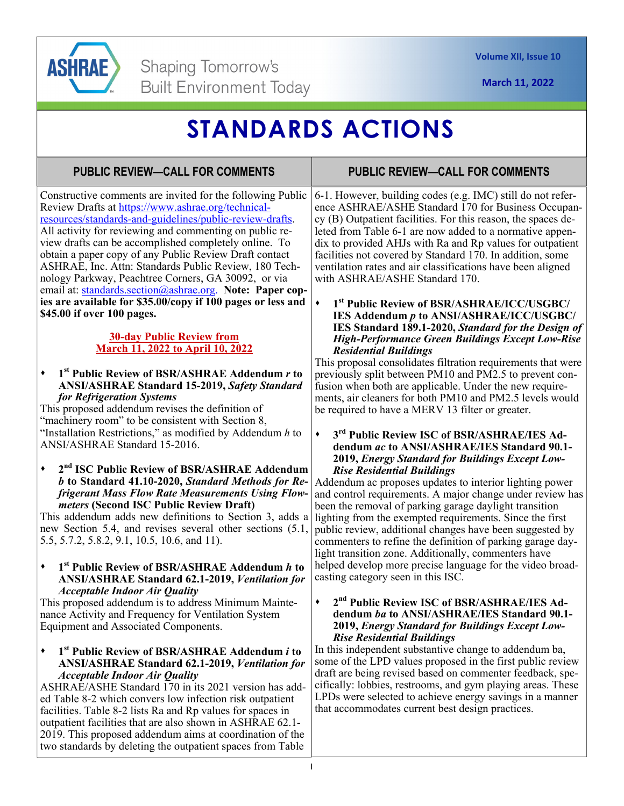

# **STANDARDS ACTIONS**

# **PUBLIC REVIEW—CALL FOR COMMENTS**

**PUBLIC REVIEW—CALL FOR COMMENTS** 

Constructive comments are invited for the following Public Review Drafts at https://www.ashrae.org/technicalresources/standards-and-guidelines/public-review-drafts. All activity for reviewing and commenting on public review drafts can be accomplished completely online. To obtain a paper copy of any Public Review Draft contact ASHRAE, Inc. Attn: Standards Public Review, 180 Technology Parkway, Peachtree Corners, GA 30092, or via email at: standards.section@ashrae.org. **Note: Paper copies are available for \$35.00/copy if 100 pages or less and \$45.00 if over 100 pages.** 

## **30-day Public Review from March 11, 2022 to April 10, 2022**

## **1st Public Review of BSR/ASHRAE Addendum** *r* **to ANSI/ASHRAE Standard 15-2019,** *Safety Standard for Refrigeration Systems*

This proposed addendum revises the definition of "machinery room" to be consistent with Section 8, "Installation Restrictions," as modified by Addendum *h* to ANSI/ASHRAE Standard 15-2016.

**2nd ISC Public Review of BSR/ASHRAE Addendum**  *b* **to Standard 41.10-2020,** *Standard Methods for Refrigerant Mass Flow Rate Measurements Using Flowmeters* **(Second ISC Public Review Draft)**

This addendum adds new definitions to Section 3, adds a new Section 5.4, and revises several other sections (5.1, 5.5, 5.7.2, 5.8.2, 9.1, 10.5, 10.6, and 11).

**1st Public Review of BSR/ASHRAE Addendum** *h* **to ANSI/ASHRAE Standard 62.1-2019,** *Ventilation for Acceptable Indoor Air Quality*

This proposed addendum is to address Minimum Maintenance Activity and Frequency for Ventilation System Equipment and Associated Components.

**1st Public Review of BSR/ASHRAE Addendum** *i* **to ANSI/ASHRAE Standard 62.1-2019,** *Ventilation for Acceptable Indoor Air Quality*

ASHRAE/ASHE Standard 170 in its 2021 version has added Table 8-2 which convers low infection risk outpatient facilities. Table 8-2 lists Ra and Rp values for spaces in outpatient facilities that are also shown in ASHRAE 62.1- 2019. This proposed addendum aims at coordination of the two standards by deleting the outpatient spaces from Table

6-1. However, building codes (e.g. IMC) still do not reference ASHRAE/ASHE Standard 170 for Business Occupancy (B) Outpatient facilities. For this reason, the spaces deleted from Table 6-1 are now added to a normative appendix to provided AHJs with Ra and Rp values for outpatient facilities not covered by Standard 170. In addition, some ventilation rates and air classifications have been aligned with ASHRAE/ASHE Standard 170.

**1st Public Review of BSR/ASHRAE/ICC/USGBC/ IES Addendum** *p* **to ANSI/ASHRAE/ICC/USGBC/ IES Standard 189.1-2020,** *Standard for the Design of High-Performance Green Buildings Except Low-Rise Residential Buildings* 

This proposal consolidates filtration requirements that were previously split between PM10 and PM2.5 to prevent confusion when both are applicable. Under the new requirements, air cleaners for both PM10 and PM2.5 levels would be required to have a MERV 13 filter or greater.

## **3rd Public Review ISC of BSR/ASHRAE/IES Addendum** *ac* **to ANSI/ASHRAE/IES Standard 90.1- 2019,** *Energy Standard for Buildings Except Low-Rise Residential Buildings*

Addendum ac proposes updates to interior lighting power and control requirements. A major change under review has been the removal of parking garage daylight transition lighting from the exempted requirements. Since the first public review, additional changes have been suggested by commenters to refine the definition of parking garage daylight transition zone. Additionally, commenters have helped develop more precise language for the video broadcasting category seen in this ISC.

## **2nd Public Review ISC of BSR/ASHRAE/IES Addendum** *ba* **to ANSI/ASHRAE/IES Standard 90.1- 2019,** *Energy Standard for Buildings Except Low-Rise Residential Buildings*

In this independent substantive change to addendum ba, some of the LPD values proposed in the first public review draft are being revised based on commenter feedback, specifically: lobbies, restrooms, and gym playing areas. These LPDs were selected to achieve energy savings in a manner that accommodates current best design practices.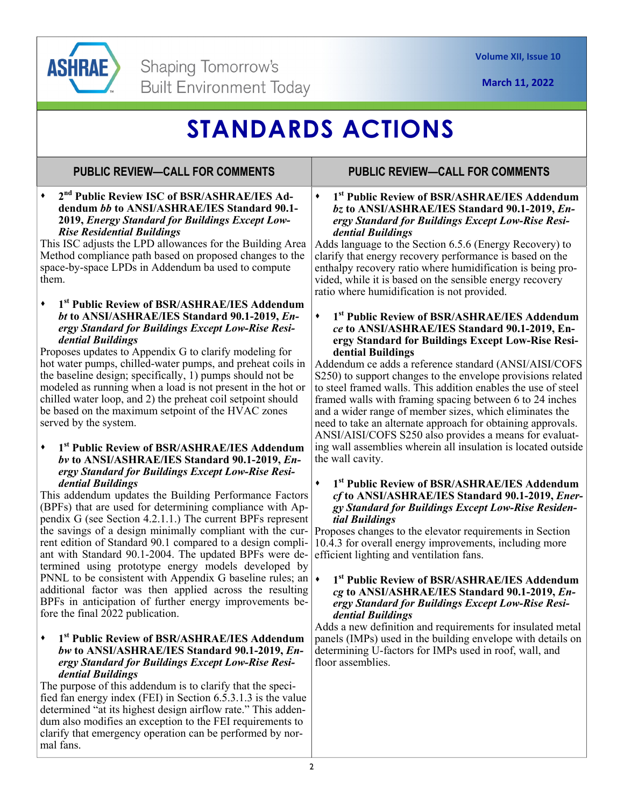

# **STANDARDS ACTIONS**

# **PUBLIC REVIEW—CALL FOR COMMENTS**

**2nd Public Review ISC of BSR/ASHRAE/IES Addendum** *bb* **to ANSI/ASHRAE/IES Standard 90.1- 2019,** *Energy Standard for Buildings Except Low-Rise Residential Buildings*

This ISC adjusts the LPD allowances for the Building Area Method compliance path based on proposed changes to the space-by-space LPDs in Addendum ba used to compute them.

**1st Public Review of BSR/ASHRAE/IES Addendum**  *bt* **to ANSI/ASHRAE/IES Standard 90.1-2019,** *Energy Standard for Buildings Except Low-Rise Residential Buildings*

Proposes updates to Appendix G to clarify modeling for hot water pumps, chilled-water pumps, and preheat coils in the baseline design; specifically, 1) pumps should not be modeled as running when a load is not present in the hot or chilled water loop, and 2) the preheat coil setpoint should be based on the maximum setpoint of the HVAC zones served by the system.

**1st Public Review of BSR/ASHRAE/IES Addendum**  *bv* **to ANSI/ASHRAE/IES Standard 90.1-2019,** *Energy Standard for Buildings Except Low-Rise Residential Buildings*

This addendum updates the Building Performance Factors (BPFs) that are used for determining compliance with Appendix G (see Section 4.2.1.1.) The current BPFs represent the savings of a design minimally compliant with the current edition of Standard 90.1 compared to a design compliant with Standard 90.1-2004. The updated BPFs were determined using prototype energy models developed by PNNL to be consistent with Appendix G baseline rules; an additional factor was then applied across the resulting BPFs in anticipation of further energy improvements before the final 2022 publication.

## **1st Public Review of BSR/ASHRAE/IES Addendum**  *bw* **to ANSI/ASHRAE/IES Standard 90.1-2019,** *Energy Standard for Buildings Except Low-Rise Residential Buildings*

The purpose of this addendum is to clarify that the specified fan energy index (FEI) in Section 6.5.3.1.3 is the value determined "at its highest design airflow rate." This addendum also modifies an exception to the FEI requirements to clarify that emergency operation can be performed by normal fans.

## **PUBLIC REVIEW—CALL FOR COMMENTS**

**1st Public Review of BSR/ASHRAE/IES Addendum**  *bz* **to ANSI/ASHRAE/IES Standard 90.1-2019,** *Energy Standard for Buildings Except Low-Rise Residential Buildings*

Adds language to the Section 6.5.6 (Energy Recovery) to clarify that energy recovery performance is based on the enthalpy recovery ratio where humidification is being provided, while it is based on the sensible energy recovery ratio where humidification is not provided.

**1st Public Review of BSR/ASHRAE/IES Addendum**  *ce* **to ANSI/ASHRAE/IES Standard 90.1-2019, Energy Standard for Buildings Except Low-Rise Residential Buildings** 

Addendum ce adds a reference standard (ANSI/AISI/COFS S250) to support changes to the envelope provisions related to steel framed walls. This addition enables the use of steel framed walls with framing spacing between 6 to 24 inches and a wider range of member sizes, which eliminates the need to take an alternate approach for obtaining approvals. ANSI/AISI/COFS S250 also provides a means for evaluating wall assemblies wherein all insulation is located outside the wall cavity.

#### **1st Public Review of BSR/ASHRAE/IES Addendum**  *cf* **to ANSI/ASHRAE/IES Standard 90.1-2019,** *Energy Standard for Buildings Except Low-Rise Residential Buildings*

Proposes changes to the elevator requirements in Section 10.4.3 for overall energy improvements, including more efficient lighting and ventilation fans.

#### **1st Public Review of BSR/ASHRAE/IES Addendum**  *cg* **to ANSI/ASHRAE/IES Standard 90.1-2019,** *Energy Standard for Buildings Except Low-Rise Residential Buildings*

Adds a new definition and requirements for insulated metal panels (IMPs) used in the building envelope with details on determining U-factors for IMPs used in roof, wall, and floor assemblies.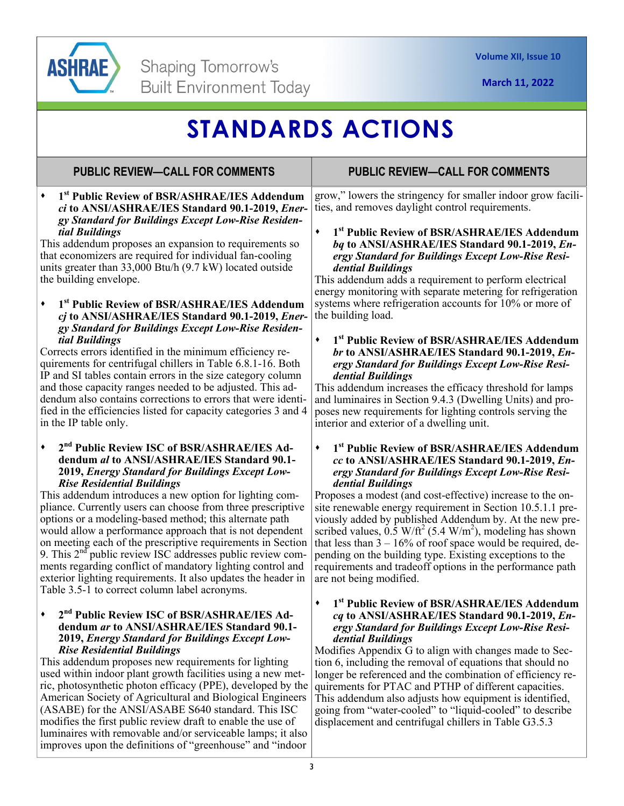

# **STANDARDS ACTIONS**

# **PUBLIC REVIEW—CALL FOR COMMENTS**

**1st Public Review of BSR/ASHRAE/IES Addendum**  *ci* **to ANSI/ASHRAE/IES Standard 90.1-2019,** *Energy Standard for Buildings Except Low-Rise Residential Buildings*

This addendum proposes an expansion to requirements so that economizers are required for individual fan-cooling units greater than 33,000 Btu/h (9.7 kW) located outside the building envelope.

**1st Public Review of BSR/ASHRAE/IES Addendum**  *cj* **to ANSI/ASHRAE/IES Standard 90.1-2019,** *Energy Standard for Buildings Except Low-Rise Residential Buildings*

Corrects errors identified in the minimum efficiency requirements for centrifugal chillers in Table 6.8.1-16. Both IP and SI tables contain errors in the size category column and those capacity ranges needed to be adjusted. This addendum also contains corrections to errors that were identified in the efficiencies listed for capacity categories 3 and 4 in the IP table only.

## **2nd Public Review ISC of BSR/ASHRAE/IES Addendum** *al* **to ANSI/ASHRAE/IES Standard 90.1- 2019,** *Energy Standard for Buildings Except Low-Rise Residential Buildings*

This addendum introduces a new option for lighting compliance. Currently users can choose from three prescriptive options or a modeling-based method; this alternate path would allow a performance approach that is not dependent on meeting each of the prescriptive requirements in Section 9. This 2<sup>nd</sup> public review ISC addresses public review comments regarding conflict of mandatory lighting control and exterior lighting requirements. It also updates the header in Table 3.5-1 to correct column label acronyms.

## **2nd Public Review ISC of BSR/ASHRAE/IES Addendum** *ar* **to ANSI/ASHRAE/IES Standard 90.1- 2019,** *Energy Standard for Buildings Except Low-Rise Residential Buildings*

This addendum proposes new requirements for lighting used within indoor plant growth facilities using a new metric, photosynthetic photon efficacy (PPE), developed by the American Society of Agricultural and Biological Engineers (ASABE) for the ANSI/ASABE S640 standard. This ISC modifies the first public review draft to enable the use of luminaires with removable and/or serviceable lamps; it also improves upon the definitions of "greenhouse" and "indoor

# **PUBLIC REVIEW—CALL FOR COMMENTS**

grow," lowers the stringency for smaller indoor grow facilities, and removes daylight control requirements.

**1st Public Review of BSR/ASHRAE/IES Addendum**  *bq* **to ANSI/ASHRAE/IES Standard 90.1-2019,** *Energy Standard for Buildings Except Low-Rise Residential Buildings*

This addendum adds a requirement to perform electrical energy monitoring with separate metering for refrigeration systems where refrigeration accounts for 10% or more of the building load.

**1st Public Review of BSR/ASHRAE/IES Addendum**  *br* **to ANSI/ASHRAE/IES Standard 90.1-2019,** *Energy Standard for Buildings Except Low-Rise Residential Buildings*

This addendum increases the efficacy threshold for lamps and luminaires in Section 9.4.3 (Dwelling Units) and proposes new requirements for lighting controls serving the interior and exterior of a dwelling unit.

#### **1st Public Review of BSR/ASHRAE/IES Addendum**  *cc* **to ANSI/ASHRAE/IES Standard 90.1-2019,** *Energy Standard for Buildings Except Low-Rise Residential Buildings*

Proposes a modest (and cost-effective) increase to the onsite renewable energy requirement in Section 10.5.1.1 previously added by published Addendum by. At the new prescribed values,  $0.\overline{5}$  W/ft<sup>2</sup> (5.4 W/m<sup>2</sup>), modeling has shown that less than  $3 - 16\%$  of roof space would be required, depending on the building type. Existing exceptions to the requirements and tradeoff options in the performance path are not being modified.

## **1st Public Review of BSR/ASHRAE/IES Addendum**  *cq* **to ANSI/ASHRAE/IES Standard 90.1-2019,** *Energy Standard for Buildings Except Low-Rise Residential Buildings*

Modifies Appendix G to align with changes made to Section 6, including the removal of equations that should no longer be referenced and the combination of efficiency requirements for PTAC and PTHP of different capacities. This addendum also adjusts how equipment is identified, going from "water-cooled" to "liquid-cooled" to describe displacement and centrifugal chillers in Table G3.5.3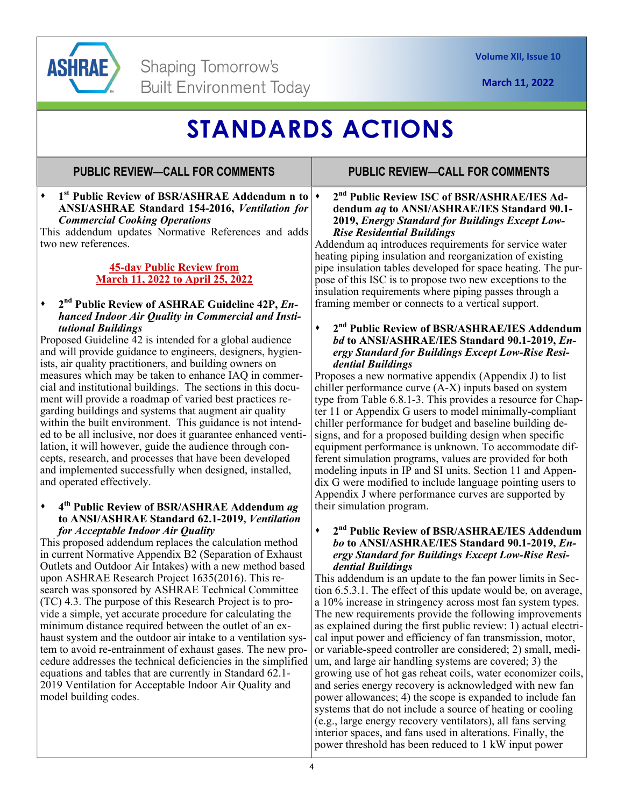

# **STANDARDS ACTIONS**

## **PUBLIC REVIEW—CALL FOR COMMENTS**

**1st Public Review of BSR/ASHRAE Addendum n to ANSI/ASHRAE Standard 154-2016,** *Ventilation for Commercial Cooking Operations*

This addendum updates Normative References and adds two new references.

## **45-day Public Review from March 11, 2022 to April 25, 2022**

#### **2nd Public Review of ASHRAE Guideline 42P,** *Enhanced Indoor Air Quality in Commercial and Institutional Buildings*

Proposed Guideline 42 is intended for a global audience and will provide guidance to engineers, designers, hygienists, air quality practitioners, and building owners on measures which may be taken to enhance IAQ in commercial and institutional buildings. The sections in this document will provide a roadmap of varied best practices regarding buildings and systems that augment air quality within the built environment. This guidance is not intended to be all inclusive, nor does it guarantee enhanced ventilation, it will however, guide the audience through concepts, research, and processes that have been developed and implemented successfully when designed, installed, and operated effectively.

#### **4th Public Review of BSR/ASHRAE Addendum** *ag*  **to ANSI/ASHRAE Standard 62.1-2019,** *Ventilation for Acceptable Indoor Air Quality*

This proposed addendum replaces the calculation method in current Normative Appendix B2 (Separation of Exhaust Outlets and Outdoor Air Intakes) with a new method based upon ASHRAE Research Project 1635(2016). This research was sponsored by ASHRAE Technical Committee (TC) 4.3. The purpose of this Research Project is to provide a simple, yet accurate procedure for calculating the minimum distance required between the outlet of an exhaust system and the outdoor air intake to a ventilation system to avoid re-entrainment of exhaust gases. The new procedure addresses the technical deficiencies in the simplified equations and tables that are currently in Standard 62.1- 2019 Ventilation for Acceptable Indoor Air Quality and model building codes.

## **PUBLIC REVIEW—CALL FOR COMMENTS**

**2nd Public Review ISC of BSR/ASHRAE/IES Addendum** *aq* **to ANSI/ASHRAE/IES Standard 90.1- 2019,** *Energy Standard for Buildings Except Low-Rise Residential Buildings*

Addendum aq introduces requirements for service water heating piping insulation and reorganization of existing pipe insulation tables developed for space heating. The purpose of this ISC is to propose two new exceptions to the insulation requirements where piping passes through a framing member or connects to a vertical support.

#### **2nd Public Review of BSR/ASHRAE/IES Addendum**  *bd* **to ANSI/ASHRAE/IES Standard 90.1-2019,** *Energy Standard for Buildings Except Low-Rise Residential Buildings*

Proposes a new normative appendix (Appendix J) to list chiller performance curve  $(A-X)$  inputs based on system type from Table 6.8.1-3. This provides a resource for Chapter 11 or Appendix G users to model minimally-compliant chiller performance for budget and baseline building designs, and for a proposed building design when specific equipment performance is unknown. To accommodate different simulation programs, values are provided for both modeling inputs in IP and SI units. Section 11 and Appendix G were modified to include language pointing users to Appendix J where performance curves are supported by their simulation program.

### **2nd Public Review of BSR/ASHRAE/IES Addendum**  *bo* **to ANSI/ASHRAE/IES Standard 90.1-2019,** *Energy Standard for Buildings Except Low-Rise Residential Buildings*

This addendum is an update to the fan power limits in Section 6.5.3.1. The effect of this update would be, on average, a 10% increase in stringency across most fan system types. The new requirements provide the following improvements as explained during the first public review: 1) actual electrical input power and efficiency of fan transmission, motor, or variable-speed controller are considered; 2) small, medium, and large air handling systems are covered; 3) the growing use of hot gas reheat coils, water economizer coils, and series energy recovery is acknowledged with new fan power allowances; 4) the scope is expanded to include fan systems that do not include a source of heating or cooling (e.g., large energy recovery ventilators), all fans serving interior spaces, and fans used in alterations. Finally, the power threshold has been reduced to 1 kW input power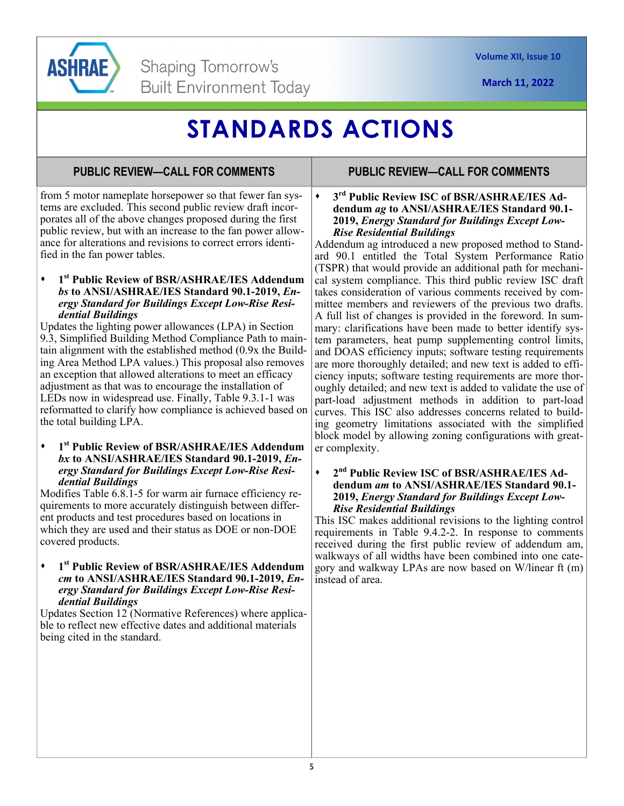

# **STANDARDS ACTIONS**

## **PUBLIC REVIEW—CALL FOR COMMENTS**

from 5 motor nameplate horsepower so that fewer fan systems are excluded. This second public review draft incorporates all of the above changes proposed during the first public review, but with an increase to the fan power allowance for alterations and revisions to correct errors identified in the fan power tables.

## **1st Public Review of BSR/ASHRAE/IES Addendum**  *bs* **to ANSI/ASHRAE/IES Standard 90.1-2019,** *Energy Standard for Buildings Except Low-Rise Residential Buildings*

Updates the lighting power allowances (LPA) in Section 9.3, Simplified Building Method Compliance Path to maintain alignment with the established method (0.9x the Building Area Method LPA values.) This proposal also removes an exception that allowed alterations to meet an efficacy adjustment as that was to encourage the installation of LEDs now in widespread use. Finally, Table 9.3.1-1 was reformatted to clarify how compliance is achieved based on the total building LPA.

#### **1st Public Review of BSR/ASHRAE/IES Addendum**  *bx* **to ANSI/ASHRAE/IES Standard 90.1-2019,** *Energy Standard for Buildings Except Low-Rise Residential Buildings*

Modifies Table 6.8.1-5 for warm air furnace efficiency requirements to more accurately distinguish between different products and test procedures based on locations in which they are used and their status as DOE or non-DOE covered products.

**1st Public Review of BSR/ASHRAE/IES Addendum**  *cm* **to ANSI/ASHRAE/IES Standard 90.1-2019,** *Energy Standard for Buildings Except Low-Rise Residential Buildings*

Updates Section 12 (Normative References) where applicable to reflect new effective dates and additional materials being cited in the standard.

## **PUBLIC REVIEW—CALL FOR COMMENTS**

**3rd Public Review ISC of BSR/ASHRAE/IES Addendum** *ag* **to ANSI/ASHRAE/IES Standard 90.1- 2019,** *Energy Standard for Buildings Except Low-Rise Residential Buildings*

Addendum ag introduced a new proposed method to Standard 90.1 entitled the Total System Performance Ratio (TSPR) that would provide an additional path for mechanical system compliance. This third public review ISC draft takes consideration of various comments received by committee members and reviewers of the previous two drafts. A full list of changes is provided in the foreword. In summary: clarifications have been made to better identify system parameters, heat pump supplementing control limits, and DOAS efficiency inputs; software testing requirements are more thoroughly detailed; and new text is added to efficiency inputs; software testing requirements are more thoroughly detailed; and new text is added to validate the use of part-load adjustment methods in addition to part-load curves. This ISC also addresses concerns related to building geometry limitations associated with the simplified block model by allowing zoning configurations with greater complexity.

#### **2nd Public Review ISC of BSR/ASHRAE/IES Addendum** *am* **to ANSI/ASHRAE/IES Standard 90.1- 2019,** *Energy Standard for Buildings Except Low-Rise Residential Buildings*

This ISC makes additional revisions to the lighting control requirements in Table 9.4.2-2. In response to comments received during the first public review of addendum am, walkways of all widths have been combined into one category and walkway LPAs are now based on W/linear ft (m) instead of area.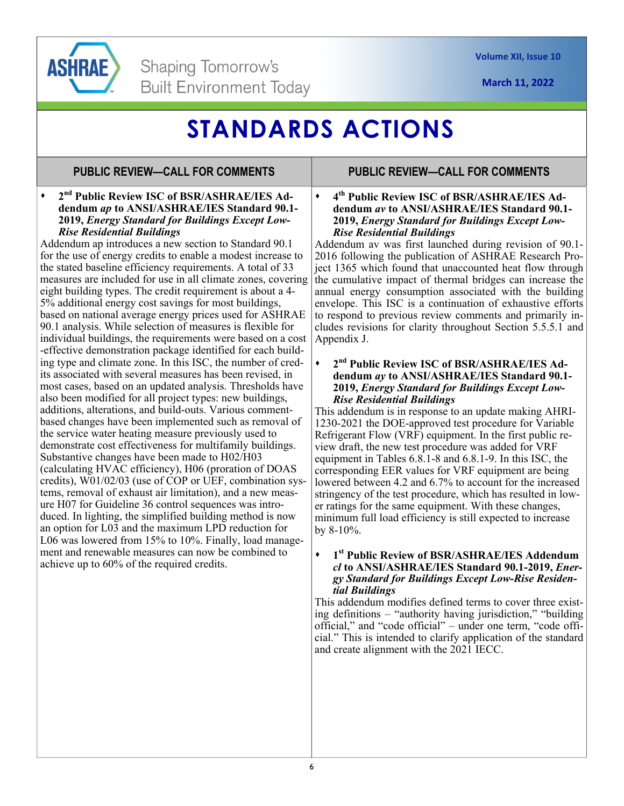

# **STANDARDS ACTIONS**

## **PUBLIC REVIEW—CALL FOR COMMENTS**

## **2nd Public Review ISC of BSR/ASHRAE/IES Addendum** *ap* **to ANSI/ASHRAE/IES Standard 90.1- 2019,** *Energy Standard for Buildings Except Low-Rise Residential Buildings*

Addendum ap introduces a new section to Standard 90.1 for the use of energy credits to enable a modest increase to the stated baseline efficiency requirements. A total of 33 measures are included for use in all climate zones, covering eight building types. The credit requirement is about a 4- 5% additional energy cost savings for most buildings, based on national average energy prices used for ASHRAE 90.1 analysis. While selection of measures is flexible for individual buildings, the requirements were based on a cost -effective demonstration package identified for each building type and climate zone. In this ISC, the number of credits associated with several measures has been revised, in most cases, based on an updated analysis. Thresholds have also been modified for all project types: new buildings, additions, alterations, and build-outs. Various commentbased changes have been implemented such as removal of the service water heating measure previously used to demonstrate cost effectiveness for multifamily buildings. Substantive changes have been made to H02/H03 (calculating HVAC efficiency), H06 (proration of DOAS credits), W01/02/03 (use of COP or UEF, combination systems, removal of exhaust air limitation), and a new measure H07 for Guideline 36 control sequences was introduced. In lighting, the simplified building method is now an option for L03 and the maximum LPD reduction for L06 was lowered from 15% to 10%. Finally, load management and renewable measures can now be combined to achieve up to 60% of the required credits.

## **PUBLIC REVIEW—CALL FOR COMMENTS**

**4th Public Review ISC of BSR/ASHRAE/IES Addendum** *av* **to ANSI/ASHRAE/IES Standard 90.1- 2019,** *Energy Standard for Buildings Except Low-Rise Residential Buildings*

Addendum av was first launched during revision of 90.1- 2016 following the publication of ASHRAE Research Project 1365 which found that unaccounted heat flow through the cumulative impact of thermal bridges can increase the annual energy consumption associated with the building envelope. This ISC is a continuation of exhaustive efforts to respond to previous review comments and primarily includes revisions for clarity throughout Section 5.5.5.1 and Appendix J.

## **2nd Public Review ISC of BSR/ASHRAE/IES Addendum** *ay* **to ANSI/ASHRAE/IES Standard 90.1- 2019,** *Energy Standard for Buildings Except Low-Rise Residential Buildings*

This addendum is in response to an update making AHRI-1230-2021 the DOE-approved test procedure for Variable Refrigerant Flow (VRF) equipment. In the first public review draft, the new test procedure was added for VRF equipment in Tables 6.8.1-8 and 6.8.1-9. In this ISC, the corresponding EER values for VRF equipment are being lowered between 4.2 and 6.7% to account for the increased stringency of the test procedure, which has resulted in lower ratings for the same equipment. With these changes, minimum full load efficiency is still expected to increase by 8-10%.

## **1st Public Review of BSR/ASHRAE/IES Addendum**  *cl* **to ANSI/ASHRAE/IES Standard 90.1-2019,** *Energy Standard for Buildings Except Low-Rise Residential Buildings*

This addendum modifies defined terms to cover three existing definitions – "authority having jurisdiction," "building official," and "code official" – under one term, "code official." This is intended to clarify application of the standard and create alignment with the 2021 IECC.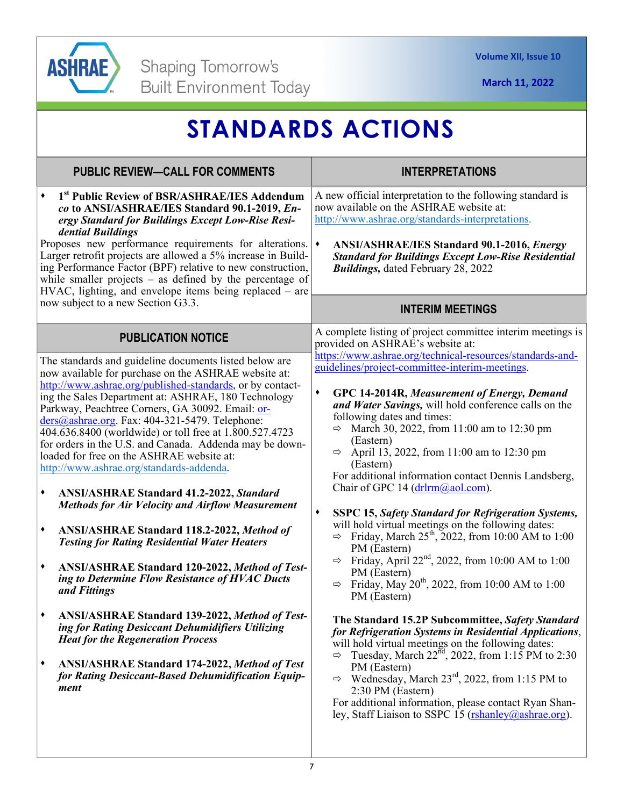

| <b>STANDARDS ACTIONS</b>                                                                                                                                                                                                                                                                                                                                                                                                                                                                                                                                                                                                                                                                                                                                                                                                                                                                                                                                                                                                                                                                                                                                                                                                       |                                                                                                                                                                                                                                                                                                                                                                                                                                                                                                                                                                                                                                                                                                                                                                                                                                                                                                                                                                                                                                                                                                                                                                                                                                                                                                                                                                                                                                                                                                  |
|--------------------------------------------------------------------------------------------------------------------------------------------------------------------------------------------------------------------------------------------------------------------------------------------------------------------------------------------------------------------------------------------------------------------------------------------------------------------------------------------------------------------------------------------------------------------------------------------------------------------------------------------------------------------------------------------------------------------------------------------------------------------------------------------------------------------------------------------------------------------------------------------------------------------------------------------------------------------------------------------------------------------------------------------------------------------------------------------------------------------------------------------------------------------------------------------------------------------------------|--------------------------------------------------------------------------------------------------------------------------------------------------------------------------------------------------------------------------------------------------------------------------------------------------------------------------------------------------------------------------------------------------------------------------------------------------------------------------------------------------------------------------------------------------------------------------------------------------------------------------------------------------------------------------------------------------------------------------------------------------------------------------------------------------------------------------------------------------------------------------------------------------------------------------------------------------------------------------------------------------------------------------------------------------------------------------------------------------------------------------------------------------------------------------------------------------------------------------------------------------------------------------------------------------------------------------------------------------------------------------------------------------------------------------------------------------------------------------------------------------|
| <b>PUBLIC REVIEW-CALL FOR COMMENTS</b>                                                                                                                                                                                                                                                                                                                                                                                                                                                                                                                                                                                                                                                                                                                                                                                                                                                                                                                                                                                                                                                                                                                                                                                         | <b>INTERPRETATIONS</b>                                                                                                                                                                                                                                                                                                                                                                                                                                                                                                                                                                                                                                                                                                                                                                                                                                                                                                                                                                                                                                                                                                                                                                                                                                                                                                                                                                                                                                                                           |
| 1st Public Review of BSR/ASHRAE/IES Addendum<br>co to ANSI/ASHRAE/IES Standard 90.1-2019, En-<br>ergy Standard for Buildings Except Low-Rise Resi-<br>dential Buildings<br>Proposes new performance requirements for alterations.<br>Larger retrofit projects are allowed a 5% increase in Build-<br>ing Performance Factor (BPF) relative to new construction,<br>while smaller projects $-$ as defined by the percentage of<br>HVAC, lighting, and envelope items being replaced – are<br>now subject to a new Section G3.3.                                                                                                                                                                                                                                                                                                                                                                                                                                                                                                                                                                                                                                                                                                 | A new official interpretation to the following standard is<br>now available on the ASHRAE website at:<br>http://www.ashrae.org/standards-interpretations.<br>$\blacklozenge$<br><b>ANSI/ASHRAE/IES Standard 90.1-2016, Energy</b><br><b>Standard for Buildings Except Low-Rise Residential</b><br><b>Buildings, dated February 28, 2022</b>                                                                                                                                                                                                                                                                                                                                                                                                                                                                                                                                                                                                                                                                                                                                                                                                                                                                                                                                                                                                                                                                                                                                                      |
|                                                                                                                                                                                                                                                                                                                                                                                                                                                                                                                                                                                                                                                                                                                                                                                                                                                                                                                                                                                                                                                                                                                                                                                                                                | <b>INTERIM MEETINGS</b>                                                                                                                                                                                                                                                                                                                                                                                                                                                                                                                                                                                                                                                                                                                                                                                                                                                                                                                                                                                                                                                                                                                                                                                                                                                                                                                                                                                                                                                                          |
| <b>PUBLICATION NOTICE</b><br>The standards and guideline documents listed below are<br>now available for purchase on the ASHRAE website at:<br>http://www.ashrae.org/published-standards, or by contact-<br>ing the Sales Department at: ASHRAE, 180 Technology<br>Parkway, Peachtree Corners, GA 30092. Email: or-<br>ders@ashrae.org. Fax: 404-321-5479. Telephone:<br>404.636.8400 (worldwide) or toll free at 1.800.527.4723<br>for orders in the U.S. and Canada. Addenda may be down-<br>loaded for free on the ASHRAE website at:<br>http://www.ashrae.org/standards-addenda.<br><b>ANSI/ASHRAE Standard 41.2-2022, Standard</b><br>٠<br><b>Methods for Air Velocity and Airflow Measurement</b><br>ANSI/ASHRAE Standard 118.2-2022, Method of<br>٠<br><b>Testing for Rating Residential Water Heaters</b><br>ANSI/ASHRAE Standard 120-2022, Method of Test-<br>ing to Determine Flow Resistance of HVAC Ducts<br>and Fittings<br><b>ANSI/ASHRAE Standard 139-2022, Method of Test-</b><br>٠<br>ing for Rating Desiccant Dehumidifiers Utilizing<br><b>Heat for the Regeneration Process</b><br><b>ANSI/ASHRAE Standard 174-2022, Method of Test</b><br>٠<br>for Rating Desiccant-Based Dehumidification Equip-<br>ment | A complete listing of project committee interim meetings is<br>provided on ASHRAE's website at:<br>https://www.ashrae.org/technical-resources/standards-and-<br>guidelines/project-committee-interim-meetings.<br>$\blacklozenge$<br>GPC 14-2014R, Measurement of Energy, Demand<br>and Water Savings, will hold conference calls on the<br>following dates and times:<br>March 30, 2022, from 11:00 am to 12:30 pm<br>$\Rightarrow$<br>(Eastern)<br>$\Rightarrow$ April 13, 2022, from 11:00 am to 12:30 pm<br>(Eastern)<br>For additional information contact Dennis Landsberg,<br>Chair of GPC 14 (drlrm@aol.com).<br>$\blacklozenge$<br><b>SSPC 15, Safety Standard for Refrigeration Systems,</b><br>will hold virtual meetings on the following dates:<br>Friday, March $25^{th}$ , 2022, from 10:00 AM to 1:00<br>$\Rightarrow$<br>PM (Eastern)<br>$\Rightarrow$ Friday, April 22 <sup>nd</sup> , 2022, from 10:00 AM to 1:00<br>PM (Eastern)<br>Friday, May $20^{th}$ , 2022, from 10:00 AM to 1:00<br>⇨<br>PM (Eastern)<br>The Standard 15.2P Subcommittee, Safety Standard<br>for Refrigeration Systems in Residential Applications,<br>will hold virtual meetings on the following dates:<br>Tuesday, March $22nd$ , 2022, from 1:15 PM to 2:30<br>⇨<br>PM (Eastern)<br>$\Rightarrow$ Wednesday, March 23 <sup>rd</sup> , 2022, from 1:15 PM to<br>2:30 PM (Eastern)<br>For additional information, please contact Ryan Shan-<br>ley, Staff Liaison to SSPC 15 (rshanley@ashrae.org). |